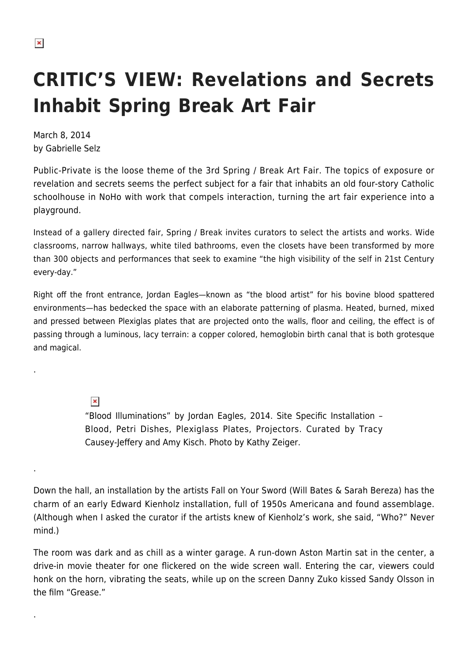## **CRITIC'S VIEW: Revelations and Secrets Inhabit Spring Break Art Fair**

March 8, 2014 by Gabrielle Selz

Public-Private is the loose theme of the 3rd Spring / Break Art Fair. The topics of exposure or revelation and secrets seems the perfect subject for a fair that inhabits an old four-story Catholic schoolhouse in NoHo with work that compels interaction, turning the art fair experience into a playground.

Instead of a gallery directed fair, Spring / Break invites curators to select the artists and works. Wide classrooms, narrow hallways, white tiled bathrooms, even the closets have been transformed by more than 300 objects and performances that seek to examine "the high visibility of the self in 21st Century every-day."

Right off the front entrance, Jordan Eagles—known as "the blood artist" for his bovine blood spattered environments—has bedecked the space with an elaborate patterning of plasma. Heated, burned, mixed and pressed between Plexiglas plates that are projected onto the walls, floor and ceiling, the effect is of passing through a luminous, lacy terrain: a copper colored, hemoglobin birth canal that is both grotesque and magical.

 $\pmb{\times}$ 

.

.

.

"Blood Illuminations" by Jordan Eagles, 2014. Site Specific Installation – Blood, Petri Dishes, Plexiglass Plates, Projectors. Curated by Tracy Causey-Jeffery and Amy Kisch. Photo by Kathy Zeiger.

Down the hall, an installation by the artists Fall on Your Sword (Will Bates & Sarah Bereza) has the charm of an early Edward Kienholz installation, full of 1950s Americana and found assemblage. (Although when I asked the curator if the artists knew of Kienholz's work, she said, "Who?" Never mind.)

The room was dark and as chill as a winter garage. A run-down Aston Martin sat in the center, a drive-in movie theater for one flickered on the wide screen wall. Entering the car, viewers could honk on the horn, vibrating the seats, while up on the screen Danny Zuko kissed Sandy Olsson in the film "Grease"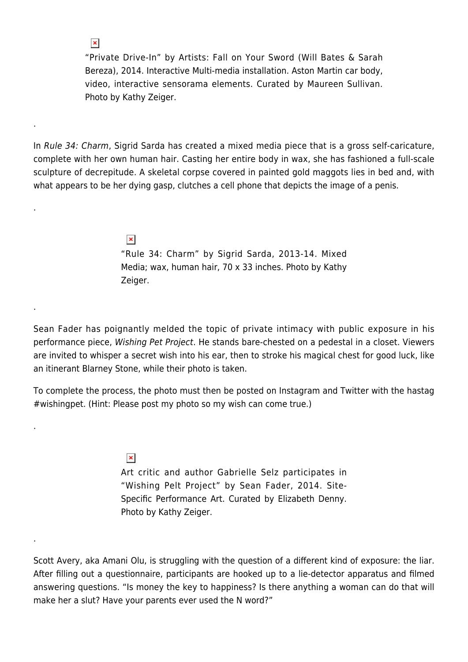"Private Drive-In" by Artists: Fall on Your Sword (Will Bates & Sarah Bereza), 2014. Interactive Multi-media installation. Aston Martin car body, video, interactive sensorama elements. Curated by Maureen Sullivan. Photo by Kathy Zeiger.

In Rule 34: Charm, Sigrid Sarda has created a mixed media piece that is a gross self-caricature, complete with her own human hair. Casting her entire body in wax, she has fashioned a full-scale sculpture of decrepitude. A skeletal corpse covered in painted gold maggots lies in bed and, with what appears to be her dying gasp, clutches a cell phone that depicts the image of a penis.

.

 $\pmb{\times}$ 

.

.

.

.

 $\pmb{\times}$ "Rule 34: Charm" by Sigrid Sarda, 2013-14. Mixed Media; wax, human hair, 70 x 33 inches. Photo by Kathy Zeiger.

Sean Fader has poignantly melded the topic of private intimacy with public exposure in his performance piece, Wishing Pet Project. He stands bare-chested on a pedestal in a closet. Viewers are invited to whisper a secret wish into his ear, then to stroke his magical chest for good luck, like an itinerant Blarney Stone, while their photo is taken.

To complete the process, the photo must then be posted on Instagram and Twitter with the hastag #wishingpet. (Hint: Please post my photo so my wish can come true.)

> $\pmb{\times}$ Art critic and author Gabrielle Selz participates in "Wishing Pelt Project" by Sean Fader, 2014. Site-Specific Performance Art. Curated by Elizabeth Denny. Photo by Kathy Zeiger.

Scott Avery, aka Amani Olu, is struggling with the question of a different kind of exposure: the liar. After filling out a questionnaire, participants are hooked up to a lie-detector apparatus and filmed answering questions. "Is money the key to happiness? Is there anything a woman can do that will make her a slut? Have your parents ever used the N word?"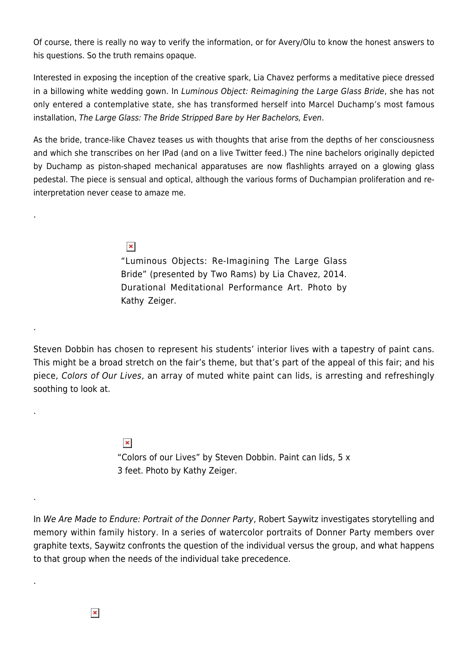Of course, there is really no way to verify the information, or for Avery/Olu to know the honest answers to his questions. So the truth remains opaque.

Interested in exposing the inception of the creative spark, Lia Chavez performs a meditative piece dressed in a billowing white wedding gown. In Luminous Object: Reimagining the Large Glass Bride, she has not only entered a contemplative state, she has transformed herself into Marcel Duchamp's most famous installation, The Large Glass: The Bride Stripped Bare by Her Bachelors, Even.

As the bride, trance-like Chavez teases us with thoughts that arise from the depths of her consciousness and which she transcribes on her IPad (and on a live Twitter feed.) The nine bachelors originally depicted by Duchamp as piston-shaped mechanical apparatuses are now flashlights arrayed on a glowing glass pedestal. The piece is sensual and optical, although the various forms of Duchampian proliferation and reinterpretation never cease to amaze me.

 $\pmb{\times}$ 

.

.

.

.

.

"Luminous Objects: Re-Imagining The Large Glass Bride" (presented by Two Rams) by Lia Chavez, 2014. Durational Meditational Performance Art. Photo by Kathy Zeiger.

Steven Dobbin has chosen to represent his students' interior lives with a tapestry of paint cans. This might be a broad stretch on the fair's theme, but that's part of the appeal of this fair; and his piece, Colors of Our Lives, an array of muted white paint can lids, is arresting and refreshingly soothing to look at.

> $\pmb{\times}$ "Colors of our Lives" by Steven Dobbin. Paint can lids, 5 x 3 feet. Photo by Kathy Zeiger.

In We Are Made to Endure: Portrait of the Donner Party, Robert Saywitz investigates storytelling and memory within family history. In a series of watercolor portraits of Donner Party members over graphite texts, Saywitz confronts the question of the individual versus the group, and what happens to that group when the needs of the individual take precedence.

 $\pmb{\times}$